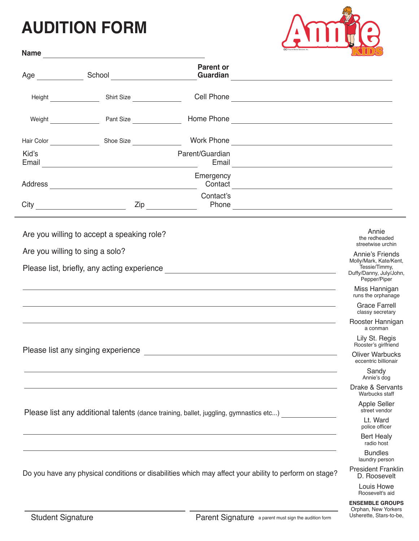## **AUDITION FORM**



| <b>Name</b>                     |                                                                                                        |                                                                                                                                                                                                                                      |                                                                  | <b>KUULS</b>                                |
|---------------------------------|--------------------------------------------------------------------------------------------------------|--------------------------------------------------------------------------------------------------------------------------------------------------------------------------------------------------------------------------------------|------------------------------------------------------------------|---------------------------------------------|
|                                 |                                                                                                        | <b>Parent or</b>                                                                                                                                                                                                                     |                                                                  |                                             |
| Height ______________           | Shirt Size <b>Shirt</b> Size                                                                           |                                                                                                                                                                                                                                      |                                                                  |                                             |
|                                 | Weight Pant Size                                                                                       |                                                                                                                                                                                                                                      |                                                                  |                                             |
|                                 |                                                                                                        |                                                                                                                                                                                                                                      |                                                                  |                                             |
| Kid's                           |                                                                                                        | Parent/Guardian<br>Email                                                                                                                                                                                                             | <u> 1980 - Andrea Station, amerikan basal personal (b. 1980)</u> |                                             |
|                                 |                                                                                                        | Emergency                                                                                                                                                                                                                            | Contact <b>Contact</b>                                           |                                             |
|                                 |                                                                                                        | Contact's<br>$\mathsf{Zip} \_\_$                                                                                                                                                                                                     |                                                                  |                                             |
|                                 | Are you willing to accept a speaking role?                                                             |                                                                                                                                                                                                                                      |                                                                  | Annie<br>the redheaded<br>streetwise urchin |
| Are you willing to sing a solo? | Annie's Friends<br>Molly/Mark, Kate/Kent,<br>Tessie/Timmy,<br>Duffy/Danny, July/John,<br>Pepper/Piper  |                                                                                                                                                                                                                                      |                                                                  |                                             |
|                                 |                                                                                                        | <u> 1989 - Johann Stoff, deutscher Stoffen und der Stoffen und der Stoffen und der Stoffen und der Stoffen und der</u>                                                                                                               |                                                                  | Miss Hannigan<br>runs the orphanage         |
|                                 |                                                                                                        | <u>and the contract of the contract of the contract of the contract of the contract of the contract of the contract of the contract of the contract of the contract of the contract of the contract of the contract of the contr</u> |                                                                  | <b>Grace Farrell</b><br>classy secretary    |
|                                 |                                                                                                        | <u> 1989 - John Stone, amerikansk politiker (* 1989)</u>                                                                                                                                                                             |                                                                  | Rooster Hannigan<br>a conman                |
|                                 | Please list any singing experience                                                                     |                                                                                                                                                                                                                                      |                                                                  | Lily St. Regis<br>Rooster's girlfriend      |
|                                 |                                                                                                        | <b>Oliver Warbucks</b><br>eccentric billionair                                                                                                                                                                                       |                                                                  |                                             |
|                                 |                                                                                                        |                                                                                                                                                                                                                                      |                                                                  | Sandy<br>Annie's dog                        |
|                                 |                                                                                                        |                                                                                                                                                                                                                                      |                                                                  | Drake & Servants<br>Warbucks staff          |
|                                 | Please list any additional talents (dance training, ballet, juggling, gymnastics etc)                  | Apple Seller<br>street vendor                                                                                                                                                                                                        |                                                                  |                                             |
|                                 | Lt. Ward<br>police officer                                                                             |                                                                                                                                                                                                                                      |                                                                  |                                             |
|                                 |                                                                                                        |                                                                                                                                                                                                                                      |                                                                  | <b>Bert Healy</b><br>radio host             |
|                                 |                                                                                                        |                                                                                                                                                                                                                                      |                                                                  | <b>Bundles</b><br>laundry person            |
|                                 | Do you have any physical conditions or disabilities which may affect your ability to perform on stage? | <b>President Franklin</b><br>D. Roosevelt                                                                                                                                                                                            |                                                                  |                                             |
|                                 |                                                                                                        |                                                                                                                                                                                                                                      |                                                                  | Louis Howe<br>Roosevelt's aid               |
|                                 |                                                                                                        |                                                                                                                                                                                                                                      |                                                                  | <b>ENSEMBLE GROUPS</b>                      |

m.

Orphan, New Yorkers Usherette, Stars-to-be,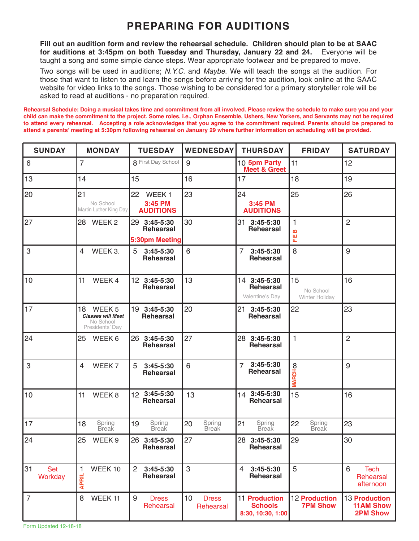## **PREPARING FOR AUDITIONS**

**Fill out an audition form and review the rehearsal schedule. Children should plan to be at SAAC for auditions at 3:45pm on both Tuesday and Thursday, January 22 and 24.** Everyone will be taught a song and some simple dance steps. Wear appropriate footwear and be prepared to move.

Two songs will be used in auditions; *N.Y.C.* and *Maybe*. We will teach the songs at the audition. For those that want to listen to and learn the songs before arriving for the audition, look online at the SAAC website for video links to the songs. Those wishing to be considered for a primary storyteller role will be asked to read at auditions - no preparation required.

**Rehearsal Schedule: Doing a musical takes time and commitment from all involved. Please review the schedule to make sure you and your child can make the commitment to the project. Some roles, i.e., Orphan Ensemble, Ushers, New Yorkers, and Servants may not be required to attend every rehearsal. Accepting a role acknowledges that you agree to the commitment required. Parents should be prepared to attend a parents' meeting at 5:30pm following rehearsal on January 29 where further information on scheduling will be provided.**

| <b>SUNDAY</b>               | <b>MONDAY</b>                                                                       | <b>TUESDAY</b>                                         | <b>WEDNESDAY</b>                | <b>THURSDAY</b>                                             | <b>FRIDAY</b>                           | <b>SATURDAY</b>                                      |
|-----------------------------|-------------------------------------------------------------------------------------|--------------------------------------------------------|---------------------------------|-------------------------------------------------------------|-----------------------------------------|------------------------------------------------------|
| $\,6\,$                     | $\overline{7}$                                                                      | 8 First Day School                                     | 9                               | 10 5pm Party<br><b>Meet &amp; Greet</b>                     | 11                                      | 12                                                   |
| 13                          | 14                                                                                  | 15                                                     | 16                              | 17                                                          | 18                                      | 19                                                   |
| 20                          | 21<br>No School<br>Martin Luther King Day                                           | 22<br>WEEK <sub>1</sub><br>3:45 PM<br><b>AUDITIONS</b> | 23                              | 24<br>3:45 PM<br><b>AUDITIONS</b>                           | 25                                      | 26                                                   |
| 27                          | 28 WEEK 2                                                                           | 29 3:45-5:30<br><b>Rehearsal</b><br>5:30pm Meeting     | 30                              | 31 3:45-5:30<br><b>Rehearsal</b>                            | 1<br>m<br>쀼                             | $\overline{2}$                                       |
| 3                           | WEEK 3.<br>4                                                                        | 5<br>3:45-5:30<br><b>Rehearsal</b>                     | 6                               | $\overline{7}$<br>$3:45 - 5:30$<br><b>Rehearsal</b>         | 8                                       | 9                                                    |
| 10                          | 11<br>WEEK 4                                                                        | 12 3:45-5:30<br><b>Rehearsal</b>                       | 13                              | 14 3:45-5:30<br><b>Rehearsal</b><br>Valentine's Day         | 15<br>No School<br>Winter Holiday       | 16                                                   |
| 17                          | 18<br>WEEK <sub>5</sub><br><b>Classes will Meet</b><br>No School<br>Presidents' Day | 19 3:45-5:30<br><b>Rehearsal</b>                       | 20                              | 21 3:45-5:30<br><b>Rehearsal</b>                            | 22                                      | 23                                                   |
| 24                          | 25<br>WEEK 6                                                                        | 26 3:45-5:30<br>Rehearsal                              | 27                              | 28 3:45-5:30<br><b>Rehearsal</b>                            | $\mathbf{1}$                            | $\overline{2}$                                       |
| 3                           | WEEK 7<br>4                                                                         | 5<br>$3:45 - 5:30$<br>Rehearsal                        | 6                               | $3:45 - 5:30$<br>$\overline{7}$<br><b>Rehearsal</b>         | <b>MARCHOO</b>                          | 9                                                    |
| 10                          | 11<br>WEEK <sub>8</sub>                                                             | 12 3:45-5:30<br><b>Rehearsal</b>                       | 13                              | 14 3:45-5:30<br><b>Rehearsal</b>                            | 15                                      | 16                                                   |
| 17                          | 18<br>Spring<br>Break                                                               | Spring<br>Break<br>19                                  | 20<br>Spring<br>Break           | 21<br>Spring<br>Break                                       | 22<br>Spring<br>Break                   | 23                                                   |
| 24                          | 25<br>WEEK <sub>9</sub>                                                             | 26<br>3:45-5:30<br>Rehearsal                           | 27                              | 28<br>3:45-5:30<br>Rehearsal                                | 29                                      | 30                                                   |
| 31<br><b>Set</b><br>Workday | WEEK 10<br>1<br><b>APRIL</b>                                                        | $\overline{2}$<br>$3:45 - 5:30$<br><b>Rehearsal</b>    | 3                               | $\overline{4}$<br>$3:45-5:30$<br><b>Rehearsal</b>           | 5                                       | 6<br><b>Tech</b><br>Rehearsal<br>afternoon           |
| $\overline{7}$              | 8<br>WEEK 11                                                                        | 9<br><b>Dress</b><br>Rehearsal                         | 10<br><b>Dress</b><br>Rehearsal | <b>11 Production</b><br><b>Schools</b><br>8:30, 10:30, 1:00 | <b>12 Production</b><br><b>7PM Show</b> | 13 Production<br><b>11AM Show</b><br><b>2PM Show</b> |

Form Updated 12-18-18